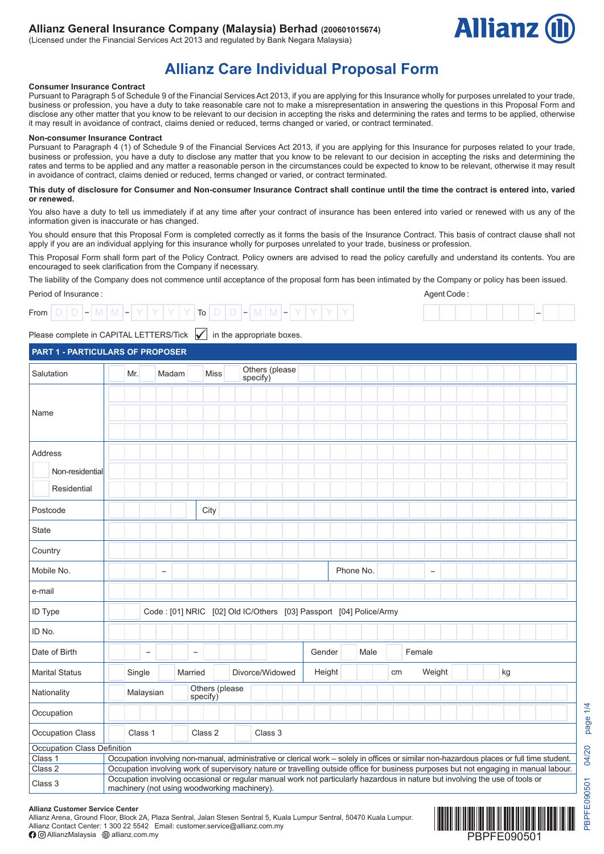## **Allianz General Insurance Company (Malaysia) Berhad (200601015674)**

(Licensed under the Financial Services Act 2013 and regulated by Bank Negara Malaysia)



# **Allianz Care Individual Proposal Form**

## **Consumer Insurance Contract**

Pursuant to Paragraph 5 of Schedule 9 of the Financial Services Act 2013, if you are applying for this Insurance wholly for purposes unrelated to your trade, business or profession, you have a duty to take reasonable care not to make a misrepresentation in answering the questions in this Proposal Form and disclose any other matter that you know to be relevant to our decision in accepting the risks and determining the rates and terms to be applied, otherwise it may result in avoidance of contract, claims denied or reduced, terms changed or varied, or contract terminated.

## **Non-consumer Insurance Contract**

Pursuant to Paragraph 4 (1) of Schedule 9 of the Financial Services Act 2013, if you are applying for this Insurance for purposes related to your trade, business or profession, you have a duty to disclose any matter that you know to be relevant to our decision in accepting the risks and determining the rates and terms to be applied and any matter a reasonable person in the circumstances could be expected to know to be relevant, otherwise it may result in avoidance of contract, claims denied or reduced, terms changed or varied, or contract terminated.

## **This duty of disclosure for Consumer and Non-consumer Insurance Contract shall continue until the time the contract is entered into, varied or renewed.**

You also have a duty to tell us immediately if at any time after your contract of insurance has been entered into varied or renewed with us any of the information given is inaccurate or has changed.

You should ensure that this Proposal Form is completed correctly as it forms the basis of the Insurance Contract. This basis of contract clause shall not apply if you are an individual applying for this insurance wholly for purposes unrelated to your trade, business or profession.

This Proposal Form shall form part of the Policy Contract. Policy owners are advised to read the policy carefully and understand its contents. You are encouraged to seek clarification from the Company if necessary.

The liability of the Company does not commence until acceptance of the proposal form has been intimated by the Company or policy has been issued.

## Period of Insurance :



# –

Agent Code :

## Please complete in CAPITAL LETTERS/Tick  $\boxed{\bigvee}$  in the appropriate boxes.

## **PART 1 - PARTICULARS OF PROPOSER**

| Salutation                  | Mr.                                          |                          | Madam                    |                   | <b>Miss</b> |                | specify) |         | Others (please  |        |  |                                                                                                                                            |    |        |                          |  |  |    |  |  |
|-----------------------------|----------------------------------------------|--------------------------|--------------------------|-------------------|-------------|----------------|----------|---------|-----------------|--------|--|--------------------------------------------------------------------------------------------------------------------------------------------|----|--------|--------------------------|--|--|----|--|--|
| Name                        |                                              |                          |                          |                   |             |                |          |         |                 |        |  |                                                                                                                                            |    |        |                          |  |  |    |  |  |
|                             |                                              |                          |                          |                   |             |                |          |         |                 |        |  |                                                                                                                                            |    |        |                          |  |  |    |  |  |
| Address                     |                                              |                          |                          |                   |             |                |          |         |                 |        |  |                                                                                                                                            |    |        |                          |  |  |    |  |  |
| Non-residential             |                                              |                          |                          |                   |             |                |          |         |                 |        |  |                                                                                                                                            |    |        |                          |  |  |    |  |  |
| Residential                 |                                              |                          |                          |                   |             |                |          |         |                 |        |  |                                                                                                                                            |    |        |                          |  |  |    |  |  |
| Postcode                    |                                              |                          |                          |                   | City        |                |          |         |                 |        |  |                                                                                                                                            |    |        |                          |  |  |    |  |  |
| <b>State</b>                |                                              |                          |                          |                   |             |                |          |         |                 |        |  |                                                                                                                                            |    |        |                          |  |  |    |  |  |
| Country                     |                                              |                          |                          |                   |             |                |          |         |                 |        |  |                                                                                                                                            |    |        |                          |  |  |    |  |  |
| Mobile No.                  |                                              |                          | $\overline{\phantom{0}}$ |                   |             |                |          |         |                 |        |  | Phone No.                                                                                                                                  |    |        | $\overline{\phantom{0}}$ |  |  |    |  |  |
| e-mail                      |                                              |                          |                          |                   |             |                |          |         |                 |        |  |                                                                                                                                            |    |        |                          |  |  |    |  |  |
| ID Type                     |                                              |                          |                          |                   |             |                |          |         |                 |        |  | Code: [01] NRIC [02] Old IC/Others [03] Passport [04] Police/Army                                                                          |    |        |                          |  |  |    |  |  |
| ID No.                      |                                              |                          |                          |                   |             |                |          |         |                 |        |  |                                                                                                                                            |    |        |                          |  |  |    |  |  |
| Date of Birth               |                                              | $\overline{\phantom{0}}$ |                          | $\qquad \qquad -$ |             |                |          |         |                 | Gender |  | Male                                                                                                                                       |    | Female |                          |  |  |    |  |  |
| <b>Marital Status</b>       | Single                                       |                          |                          | Married           |             |                |          |         | Divorce/Widowed | Height |  |                                                                                                                                            | cm |        | Weight                   |  |  | kg |  |  |
| Nationality                 | Malaysian                                    |                          |                          | specify)          |             | Others (please |          |         |                 |        |  |                                                                                                                                            |    |        |                          |  |  |    |  |  |
| Occupation                  |                                              |                          |                          |                   |             |                |          |         |                 |        |  |                                                                                                                                            |    |        |                          |  |  |    |  |  |
| Occupation Class            | Class 1                                      |                          |                          | Class 2           |             |                |          | Class 3 |                 |        |  |                                                                                                                                            |    |        |                          |  |  |    |  |  |
| Occupation Class Definition |                                              |                          |                          |                   |             |                |          |         |                 |        |  |                                                                                                                                            |    |        |                          |  |  |    |  |  |
| Class 1                     |                                              |                          |                          |                   |             |                |          |         |                 |        |  | Occupation involving non-manual, administrative or clerical work - solely in offices or similar non-hazardous places or full time student. |    |        |                          |  |  |    |  |  |
| Class <sub>2</sub>          |                                              |                          |                          |                   |             |                |          |         |                 |        |  | Occupation involving work of supervisory nature or travelling outside office for business purposes but not engaging in manual labour.      |    |        |                          |  |  |    |  |  |
| Class 3                     | machinery (not using woodworking machinery). |                          |                          |                   |             |                |          |         |                 |        |  | Occupation involving occasional or regular manual work not particularly hazardous in nature but involving the use of tools or              |    |        |                          |  |  |    |  |  |

#### **Allianz Customer Service Center**

Allianz Arena, Ground Floor, Block 2A, Plaza Sentral, Jalan Stesen Sentral 5, Kuala Lumpur Sentral, 50470 Kuala Lumpur. Allianz Contact Center: 1 300 22 5542 Email: customer.service@allianz.com.my AllianzMalaysia allianz.com.my

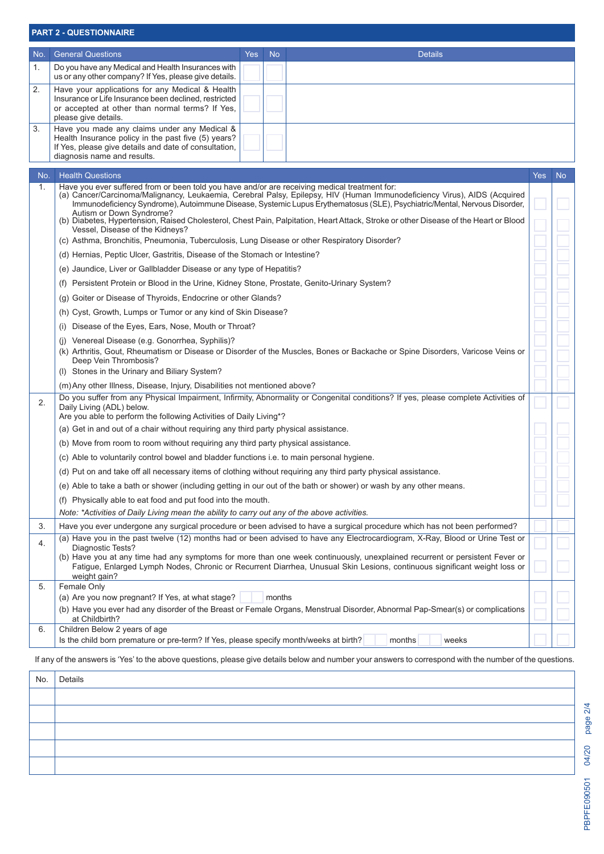|     | <b>PART 2 - QUESTIONNAIRE</b>                                                                                                                                                                                                                                                                                                                                                                                                                                                                                              |     |                |
|-----|----------------------------------------------------------------------------------------------------------------------------------------------------------------------------------------------------------------------------------------------------------------------------------------------------------------------------------------------------------------------------------------------------------------------------------------------------------------------------------------------------------------------------|-----|----------------|
| No. | <b>General Questions</b><br><b>Yes</b><br><b>No</b><br><b>Details</b>                                                                                                                                                                                                                                                                                                                                                                                                                                                      |     |                |
| 1.  | Do you have any Medical and Health Insurances with<br>us or any other company? If Yes, please give details.                                                                                                                                                                                                                                                                                                                                                                                                                |     |                |
| 2.  | Have your applications for any Medical & Health<br>Insurance or Life Insurance been declined, restricted<br>or accepted at other than normal terms? If Yes,<br>please give details.                                                                                                                                                                                                                                                                                                                                        |     |                |
| 3.  | Have you made any claims under any Medical &<br>Health Insurance policy in the past five (5) years?<br>If Yes, please give details and date of consultation,<br>diagnosis name and results.                                                                                                                                                                                                                                                                                                                                |     |                |
| No. | <b>Health Questions</b>                                                                                                                                                                                                                                                                                                                                                                                                                                                                                                    | Yes | N <sub>o</sub> |
| 1.  | Have you ever suffered from or been told you have and/or are receiving medical treatment for:<br>(a) Cancer/Carcinoma/Malignancy, Leukaemia, Cerebral Palsy, Epilepsy, HIV (Human Immunodeficiency Virus), AIDS (Acquired<br>Immunodeficiency Syndrome), Autoimmune Disease, Systemic Lupus Erythematosus (SLE), Psychiatric/Mental, Nervous Disorder,<br>Autism or Down Syndrome?<br>(b) Diabetes, Hypertension, Raised Cholesterol, Chest Pain, Palpitation, Heart Attack, Stroke or other Disease of the Heart or Blood |     |                |
|     | Vessel, Disease of the Kidneys?<br>(c) Asthma, Bronchitis, Pneumonia, Tuberculosis, Lung Disease or other Respiratory Disorder?                                                                                                                                                                                                                                                                                                                                                                                            |     |                |
|     | (d) Hernias, Peptic Ulcer, Gastritis, Disease of the Stomach or Intestine?                                                                                                                                                                                                                                                                                                                                                                                                                                                 |     |                |
|     | (e) Jaundice, Liver or Gallbladder Disease or any type of Hepatitis?                                                                                                                                                                                                                                                                                                                                                                                                                                                       |     |                |
|     | (f) Persistent Protein or Blood in the Urine, Kidney Stone, Prostate, Genito-Urinary System?                                                                                                                                                                                                                                                                                                                                                                                                                               |     |                |
|     | (g) Goiter or Disease of Thyroids, Endocrine or other Glands?                                                                                                                                                                                                                                                                                                                                                                                                                                                              |     |                |
|     | (h) Cyst, Growth, Lumps or Tumor or any kind of Skin Disease?                                                                                                                                                                                                                                                                                                                                                                                                                                                              |     |                |
|     | (i) Disease of the Eyes, Ears, Nose, Mouth or Throat?                                                                                                                                                                                                                                                                                                                                                                                                                                                                      |     |                |
|     | (i) Venereal Disease (e.g. Gonorrhea, Syphilis)?<br>(k) Arthritis, Gout, Rheumatism or Disease or Disorder of the Muscles, Bones or Backache or Spine Disorders, Varicose Veins or<br>Deep Vein Thrombosis?<br>(I) Stones in the Urinary and Biliary System?                                                                                                                                                                                                                                                               |     |                |
|     | (m) Any other Illness, Disease, Injury, Disabilities not mentioned above?                                                                                                                                                                                                                                                                                                                                                                                                                                                  |     |                |
| 2.  | Do you suffer from any Physical Impairment, Infirmity, Abnormality or Congenital conditions? If yes, please complete Activities of<br>Daily Living (ADL) below.<br>Are you able to perform the following Activities of Daily Living*?                                                                                                                                                                                                                                                                                      |     |                |
|     | (a) Get in and out of a chair without requiring any third party physical assistance.                                                                                                                                                                                                                                                                                                                                                                                                                                       |     |                |
|     | (b) Move from room to room without requiring any third party physical assistance.                                                                                                                                                                                                                                                                                                                                                                                                                                          |     |                |
|     | (c) Able to voluntarily control bowel and bladder functions i.e. to main personal hygiene.                                                                                                                                                                                                                                                                                                                                                                                                                                 |     |                |
|     | (d) Put on and take off all necessary items of clothing without requiring any third party physical assistance.                                                                                                                                                                                                                                                                                                                                                                                                             |     |                |
|     | (e) Able to take a bath or shower (including getting in our out of the bath or shower) or wash by any other means.                                                                                                                                                                                                                                                                                                                                                                                                         |     |                |
|     | (f) Physically able to eat food and put food into the mouth.                                                                                                                                                                                                                                                                                                                                                                                                                                                               |     |                |
|     | Note: *Activities of Daily Living mean the ability to carry out any of the above activities.                                                                                                                                                                                                                                                                                                                                                                                                                               |     |                |
| 3.  | Have you ever undergone any surgical procedure or been advised to have a surgical procedure which has not been performed?<br>(a) Have you in the past twelve (12) months had or been advised to have any Electrocardiogram, X-Ray, Blood or Urine Test or                                                                                                                                                                                                                                                                  |     |                |
| 4.  | Diagnostic Tests?<br>(b) Have you at any time had any symptoms for more than one week continuously, unexplained recurrent or persistent Fever or<br>Fatigue, Enlarged Lymph Nodes, Chronic or Recurrent Diarrhea, Unusual Skin Lesions, continuous significant weight loss or<br>weight gain?                                                                                                                                                                                                                              |     |                |
| 5.  | Female Only                                                                                                                                                                                                                                                                                                                                                                                                                                                                                                                |     |                |
|     | (a) Are you now pregnant? If Yes, at what stage?<br>months<br>(b) Have you ever had any disorder of the Breast or Female Organs, Menstrual Disorder, Abnormal Pap-Smear(s) or complications                                                                                                                                                                                                                                                                                                                                |     |                |
| 6.  | at Childbirth?<br>Children Below 2 years of age                                                                                                                                                                                                                                                                                                                                                                                                                                                                            |     |                |
|     | Is the child born premature or pre-term? If Yes, please specify month/weeks at birth?<br>months<br>weeks                                                                                                                                                                                                                                                                                                                                                                                                                   |     |                |

If any of the answers is 'Yes' to the above questions, please give details below and number your answers to correspond with the number of the questions.

| No. | Details |
|-----|---------|
|     |         |
|     |         |
|     |         |
|     |         |
|     |         |

page 2/4 PBPFE090501 04/20 page 2/4 PBPFE090501 04/20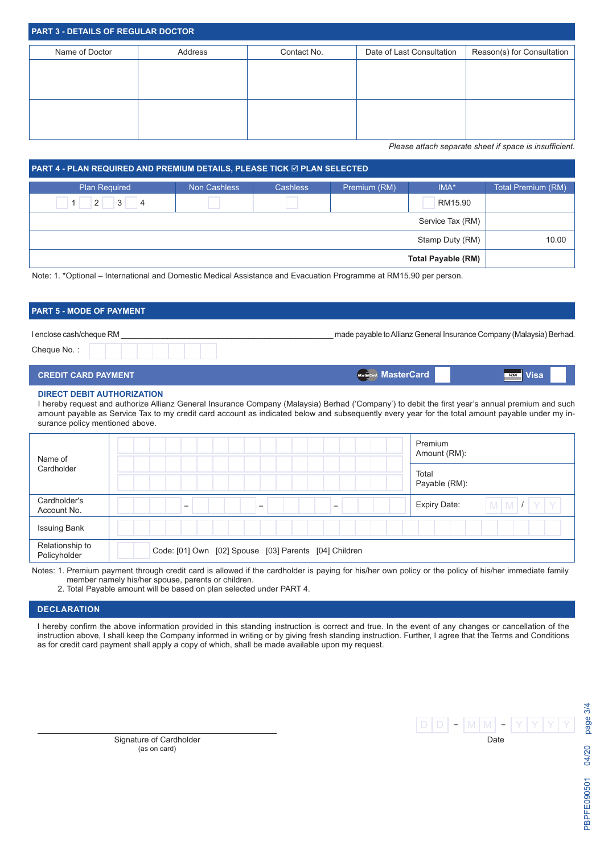| <b>PART 3 - DETAILS OF REGULAR DOCTOR</b> |         |             |                           |                            |
|-------------------------------------------|---------|-------------|---------------------------|----------------------------|
| Name of Doctor                            | Address | Contact No. | Date of Last Consultation | Reason(s) for Consultation |
|                                           |         |             |                           |                            |
|                                           |         |             |                           |                            |
|                                           |         |             |                           |                            |
|                                           |         |             |                           |                            |
|                                           |         |             |                           |                            |

*Please attach separate sheet if space is insufficient.*

**MasterCard Visa**

| <b>PART 4 - PLAN REQUIRED AND PREMIUM DETAILS, PLEASE TICK ☑ PLAN SELECTED</b> |              |                 |              |                           |                    |
|--------------------------------------------------------------------------------|--------------|-----------------|--------------|---------------------------|--------------------|
| <b>Plan Required</b>                                                           | Non Cashless | <b>Cashless</b> | Premium (RM) | $IMA^*$                   | Total Premium (RM) |
| 3<br>2 <sup>1</sup><br>4                                                       |              |                 |              | RM15.90                   |                    |
|                                                                                |              |                 |              | Service Tax (RM)          |                    |
|                                                                                |              |                 |              | Stamp Duty (RM)           | 10.00              |
|                                                                                |              |                 |              | <b>Total Payable (RM)</b> |                    |

Note: 1. \*Optional – International and Domestic Medical Assistance and Evacuation Programme at RM15.90 per person.

# **PART 5 - MODE OF PAYMENT** I enclose cash/cheque RM \_\_\_\_\_\_\_\_\_\_\_\_\_\_\_\_\_\_\_\_\_\_\_\_\_\_\_\_\_\_\_\_\_\_\_\_\_\_\_\_\_\_\_\_\_\_\_\_\_\_ made payable to Allianz General Insurance Company (Malaysia) Berhad. Cheque No. :

|  | <b>CREDIT CARD PAYMENT</b> |  |
|--|----------------------------|--|
|  |                            |  |

**DIRECT DEBIT AUTHORIZATION**

I hereby request and authorize Allianz General Insurance Company (Malaysia) Berhad ('Company') to debit the first year's annual premium and such amount payable as Service Tax to my credit card account as indicated below and subsequently every year for the total amount payable under my insurance policy mentioned above.

(Mas

| Name of                         |                                                                                  | Premium<br>Amount (RM):                |
|---------------------------------|----------------------------------------------------------------------------------|----------------------------------------|
| Cardholder                      |                                                                                  | Total<br>Payable (RM):                 |
| Cardholder's<br>Account No.     | $\overline{\phantom{0}}$<br>$\overline{\phantom{0}}$<br>$\overline{\phantom{0}}$ | $M$ $M$ $I$ $Y$<br><b>Expiry Date:</b> |
| <b>Issuing Bank</b>             |                                                                                  |                                        |
| Relationship to<br>Policyholder | Code: [01] Own [02] Spouse [03] Parents [04] Children                            |                                        |

Notes: 1. Premium payment through credit card is allowed if the cardholder is paying for his/her own policy or the policy of his/her immediate family member namely his/her spouse, parents or children.

2. Total Payable amount will be based on plan selected under PART 4.

## **DECLARATION**

I hereby confirm the above information provided in this standing instruction is correct and true. In the event of any changes or cancellation of the instruction above, I shall keep the Company informed in writing or by giving fresh standing instruction. Further, I agree that the Terms and Conditions as for credit card payment shall apply a copy of which, shall be made available upon my request.

|  | v | ν |      |  |  |
|--|---|---|------|--|--|
|  |   |   | Date |  |  |

Signature of Cardholder (as on card)